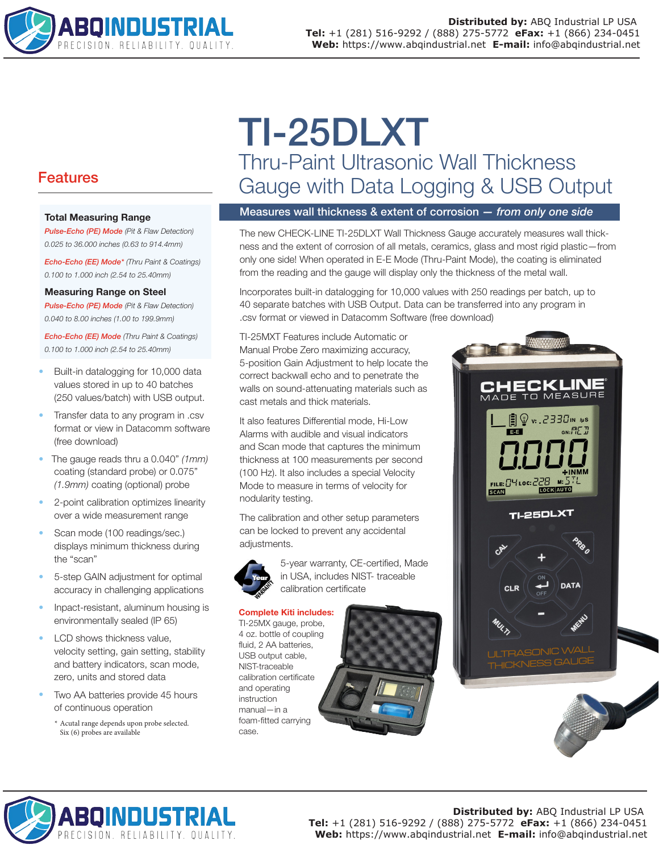

# Features

#### Total Measuring Range

*Pulse-Echo (PE) Mode (Pit & Flaw Detection) 0.025 to 36.000 inches (0.63 to 914.4mm)*

*Echo-Echo (EE) Mode\* (Thru Paint & Coatings) 0.100 to 1.000 inch (2.54 to 25.40mm)*

#### Measuring Range on Steel

*Pulse-Echo (PE) Mode (Pit & Flaw Detection) 0.040 to 8.00 inches (1.00 to 199.9mm)*

*Echo-Echo (EE) Mode (Thru Paint & Coatings) 0.100 to 1.000 inch (2.54 to 25.40mm)*

- Built-in datalogging for 10,000 data values stored in up to 40 batches (250 values/batch) with USB output.
- Transfer data to any program in .csv format or view in Datacomm software (free download)
- The gauge reads thru a 0.040" *(1mm)* coating (standard probe) or 0.075" *(1.9mm)* coating (optional) probe
- 2-point calibration optimizes linearity over a wide measurement range
- Scan mode (100 readings/sec.) displays minimum thickness during the "scan"
- 5-step GAIN adjustment for optimal accuracy in challenging applications
- Inpact-resistant, aluminum housing is environmentally sealed (IP 65)
- LCD shows thickness value, velocity setting, gain setting, stability and battery indicators, scan mode, zero, units and stored data
- Two AA batteries provide 45 hours of continuous operation
	- \* Acutal range depends upon probe selected. Six (6) probes are available

# TI-25DLXT Thru-Paint Ultrasonic Wall Thickness Gauge with Data Logging & USB Output

### Measures wall thickness & extent of corrosion *— from only one side*

The new CHECK-LINE TI-25DLXT Wall Thickness Gauge accurately measures wall thickness and the extent of corrosion of all metals, ceramics, glass and most rigid plastic—from only one side! When operated in E-E Mode (Thru-Paint Mode), the coating is eliminated from the reading and the gauge will display only the thickness of the metal wall.

Incorporates built-in datalogging for 10,000 values with 250 readings per batch, up to 40 separate batches with USB Output. Data can be transferred into any program in .csv format or viewed in Datacomm Software (free download)

TI-25MXT Features include Automatic or Manual Probe Zero maximizing accuracy, 5-position Gain Adjustment to help locate the correct backwall echo and to penetrate the walls on sound-attenuating materials such as cast metals and thick materials.

It also features Differential mode, Hi-Low Alarms with audible and visual indicators and Scan mode that captures the minimum thickness at 100 measurements per second (100 Hz). It also includes a special Velocity Mode to measure in terms of velocity for nodularity testing.

The calibration and other setup parameters can be locked to prevent any accidental adjustments.



5-year warranty, CE-certified, Made in USA, includes NIST- traceable calibration certificate

#### Complete Kiti includes:

TI-25MX gauge, probe, 4 oz. bottle of coupling fluid, 2 AA batteries, USB output cable, NIST-traceable calibration certificate and operating instruction manual—in a foam-fitted carrying case.





**Distributed by:** ABQ Industrial LP USA **Tel:** +1 (281) 516-9292 / (888) 275-5772 **eFax:** +1 (866) 234-0451 **Web:** https://www.abqindustrial.net **E-mail:** info@abqindustrial.net